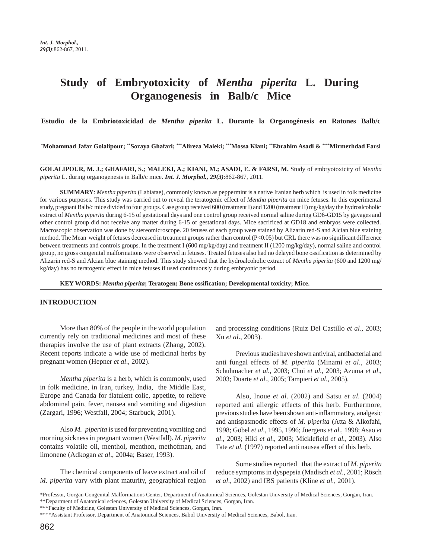# **Study of Embryotoxicity of** *Mentha piperita* **L. During Organogenesis in Balb/c Mice**

**Estudio de la Embriotoxicidad de** *Mentha piperita* **L. Durante la Organogénesis en Ratones Balb/c**

**\* Mohammad Jafar Golalipour; \*\*Soraya Ghafari; \*\*\*Alireza Maleki; \*\*\*Mossa Kiani; \*\*Ebrahim Asadi & \*\*\*\*Mirmerhdad Farsi**

**GOLALIPOUR, M. J.; GHAFARI, S.; MALEKI, A.; KIANI, M.; ASADI, E. & FARSI, M.** Study of embryotoxicity of *Mentha piperita* L. during organogenesis in Balb/c mice. *Int. J. Morphol., 29(3)*:862-867, 2011.

**SUMMARY**: *Mentha piperita* (Labiatae), commonly known as peppermint is a native Iranian herb which is used in folk medicine for various purposes. This study was carried out to reveal the teratogenic effect of *Mentha piperita* on mice fetuses. In this experimental study, pregnant Balb/c mice divided to four groups. Case group received 600 (treatment I) and 1200 (treatment II) mg/kg/day the hydroalcoholic extract of *Mentha piperita* during 6-15 of gestational days and one control group received normal saline during GD6-GD15 by gavages and other control group did not receive any matter during 6-15 of gestational days. Mice sacrificed at GD18 and embryos were collected. Macroscopic observation was done by stereomicroscope. 20 fetuses of each group were stained by Alizarin red-S and Alcian blue staining method. The Mean weight of fetuses decreased in treatment groups rather than control (P<0.05) but CRL there was no significant difference between treatments and controls groups. In the treatment I (600 mg/kg/day) and treatment II (1200 mg/kg/day), normal saline and control group, no gross congenital malformations were observed in fetuses. Treated fetuses also had no delayed bone ossification as determined by Alizarin red-S and Alcian blue staining method. This study showed that the hydroalcoholic extract of *Mentha piperita* (600 and 1200 mg/ kg/day) has no teratogenic effect in mice fetuses if used continuously during embryonic period.

**KEY WORDS:** *Mentha piperita***; Teratogen; Bone ossification; Developmental toxicity; Mice.**

#### **INTRODUCTION**

More than 80% of the people in the world population currently rely on traditional medicines and most of these therapies involve the use of plant extracts (Zhang, 2002). Recent reports indicate a wide use of medicinal herbs by pregnant women (Hepner *et al*., 2002).

*Mentha piperita* is a herb, which is commonly, used in folk medicine, in Iran, turkey, India, the Middle East, Europe and Canada for flatulent colic, appetite, to relieve abdominal pain, fever, nausea and vomiting and digestion (Zargari, 1996; Westfall, 2004; Starbuck, 2001).

Also *M. piperita* is used for preventing vomiting and morning sickness in pregnant women (Westfall). *M. piperita* contains volatile oil, menthol, menthon, methofman, and limonene (Adkogan *et al*., 2004a; Baser, 1993).

The chemical components of leave extract and oil of *M. piperita* vary with plant maturity, geographical region

and processing conditions (Ruiz Del Castillo *et al*., 2003; Xu *et al*., 2003).

Previous studies have shown antiviral, antibacterial and anti fungal effects of *M. piperita* (Minami *et al*., 2003; Schuhmacher *et al.*, 2003; Choi *et al.,* 2003; Azuma *et al*., 2003; Duarte *et al*., 2005; Tampieri *et al.*, 2005).

Also, Inoue *et al*. (2002) and Satsu *et al.* (2004) reported anti allergic effects of this herb. Furthermore, previous studies have been shown anti-inflammatory, analgesic and antispasmodic effects of *M. piperita* (Atta & Alkofahi, 1998; Göbel *et al*., 1995, 1996; Juergens *et al*., 1998; Asao *et al*., 2003; Hiki *et al*., 2003; Micklefield *et al.,* 2003). Also Tate *et al.* (1997) reported anti nausea effect of this herb.

Some studies reported that the extract of *M. piperita* reduce symptoms in dyspepsia (Madisch *et al*., 2001; Rösch *et al*., 2002) and IBS patients (Kline *et al.*, 2001).

<sup>\*</sup>Professor, Gorgan Congenital Malformations Center, Department of Anatomical Sciences, Golestan University of Medical Sciences, Gorgan, Iran. \*\*Department of Anatomical sciences, Golestan University of Medical Sciences, Gorgan, Iran.

<sup>\*\*\*</sup>Faculty of Medicine, Golestan University of Medical Sciences, Gorgan, Iran.

<sup>\*\*\*\*</sup>Assistant Professor, Department of Anatomical Sciences, Babol University of Medical Sciences, Babol, Iran.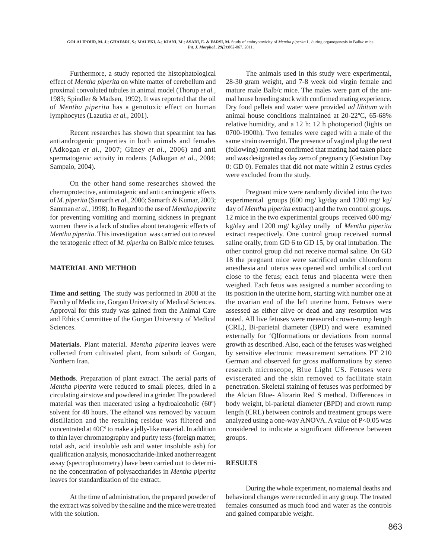Furthermore, a study reported the histophatological effect of *Mentha piperita* on white matter of cerebellum and proximal convoluted tubules in animal model (Thorup *et al.,* 1983; Spindler & Madsen, 1992). It was reported that the oil of *Mentha piperita* has a genotoxic effect on human lymphocytes (Lazutka *et al.*, 2001).

Recent researches has shown that spearmint tea has antiandrogenic properties in both animals and females (Adkogan *et al.*, 2007; Güney *et al*., 2006) and anti spermatogenic activity in rodents (Adkogan *et al*., 2004; Sampaio, 2004).

On the other hand some researches showed the chemoprotective, antimutagenic and anti carcinogenic effects of *M. piperita* (Samarth *et al*., 2006; Samarth & Kumar, 2003; Samman *et al.*, 1998). In Regard to the use of *Mentha piperita* for preventing vomiting and morning sickness in pregnant women there is a lack of studies about teratogenic effects of *Mentha piperita*. This investigation was carried out to reveal the teratogenic effect of *M. piperita* on Balb/c mice fetuses.

## **MATERIAL AND METHOD**

**Time and setting**. The study was performed in 2008 at the Faculty of Medicine, Gorgan University of Medical Sciences. Approval for this study was gained from the Animal Care and Ethics Committee of the Gorgan University of Medical Sciences.

**Materials**. Plant material. *Mentha piperita* leaves were collected from cultivated plant, from suburb of Gorgan, Northern Iran.

**Methods**. Preparation of plant extract. The aerial parts of *Mentha piperita* were reduced to small pieces, dried in a circulating air stove and powdered in a grinder. The powdered material was then macerated using a hydroalcoholic (60º) solvent for 48 hours. The ethanol was removed by vacuum distillation and the resulting residue was filtered and concentrated at 40Cº to make a jelly-like material. In addition to thin layer chromatography and purity tests (foreign matter, total ash, acid insoluble ash and water insoluble ash) for qualification analysis, monosaccharide-linked another reagent assay (spectrophotometry) have been carried out to determine the concentration of polysaccharides in *Mentha piperita* leaves for standardization of the extract.

At the time of administration, the prepared powder of the extract was solved by the saline and the mice were treated with the solution.

The animals used in this study were experimental, 28-30 gram weight, and 7-8 week old virgin female and mature male Balb/c mice. The males were part of the animal house breeding stock with confirmed mating experience. Dry food pellets and water were provided *ad libitum* with animal house conditions maintained at 20-22ºC, 65-68% relative humidity, and a 12 h: 12 h photoperiod (lights on 0700-1900h). Two females were caged with a male of the same strain overnight. The presence of vaginal plug the next (following) morning confirmed that mating had taken place and was designated as day zero of pregnancy (Gestation Day 0: GD 0). Females that did not mate within 2 estrus cycles were excluded from the study.

Pregnant mice were randomly divided into the two experimental groups (600 mg/ kg/day and 1200 mg/ kg/ day of *Mentha piperita* extract) and the two control groups. 12 mice in the two experimental groups received 600 mg/ kg/day and 1200 mg/ kg/day orally of *Mentha piperita* extract respectively. One control group received normal saline orally, from GD 6 to GD 15, by oral intubation. The other control group did not receive normal saline. On GD 18 the pregnant mice were sacrificed under chloroform anesthesia and uterus was opened and umbilical cord cut close to the fetus; each fetus and placenta were then weighed. Each fetus was assigned a number according to its position in the uterine horn, starting with number one at the ovarian end of the left uterine horn. Fetuses were assessed as either alive or dead and any resorption was noted. All live fetuses were measured crown-rump length (CRL), Bi-parietal diameter (BPD) and were examined externally for 'Qlformations or deviations from normal growth as described. Also, each of the fetuses was weighed by sensitive electronic measurement serrations PT 210 German and observed for gross malformations by stereo research microscope, Blue Light US. Fetuses were eviscerated and the skin removed to facilitate stain penetration. Skeletal staining of fetuses was performed by the Alcian Blue- Alizarin Red S method. Differences in body weight, bi-parietal diameter (BPD) and crown rump length (CRL) between controls and treatment groups were analyzed using a one-way ANOVA. A value of P<0.05 was considered to indicate a significant difference between groups.

# **RESULTS**

During the whole experiment, no maternal deaths and behavioral changes were recorded in any group. The treated females consumed as much food and water as the controls and gained comparable weight.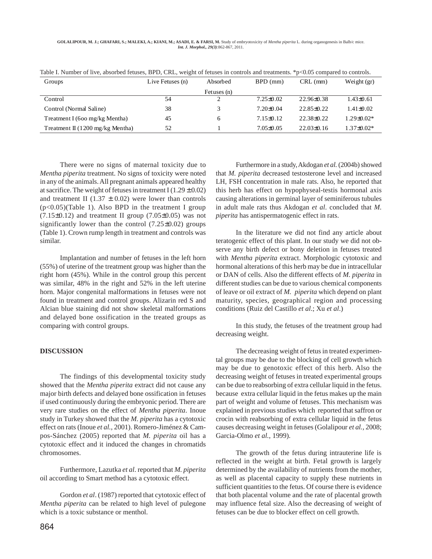**GOLALIPOUR, M. J.; GHAFARI, S.; MALEKI, A.; KIANI, M.; ASADI, E. & FARSI, M.** Study of embryotoxicity of *Mentha piperita* L. during organogenesis in Balb/c mice. *Int. J. Morphol., 29(3)*:862-867, 2011.

| Groups                           | Live Fetuses (n) | Absorbed    | $BPD$ (mm)    | $CRL$ (mm)     | Weight $(gr)$    |
|----------------------------------|------------------|-------------|---------------|----------------|------------------|
|                                  |                  | Fetuses (n) |               |                |                  |
| Control                          | 54               |             | $7.25\pm0.02$ | $22.96\pm0.38$ | $1.43\pm0.61$    |
| Control (Normal Saline)          | 38               |             | $7.20\pm0.04$ | $22.85\pm0.22$ | 1.41±0.02        |
| Treatment I (600 mg/kg Mentha)   | 45               |             | $7.15\pm0.12$ | $22.38\pm0.22$ | $1.29 \pm 0.02*$ |
| Treatment II (1200 mg/kg Mentha) | 52               |             | $7.05\pm0.05$ | $22.03\pm0.16$ | $1.37\pm0.02*$   |

Table I. Number of live, absorbed fetuses, BPD, CRL, weight of fetuses in controls and treatments. \*p<0.05 compared to controls.

There were no signs of maternal toxicity due to *Mentha piperita* treatment. No signs of toxicity were noted in any of the animals. All pregnant animals appeared healthy at sacrifice. The weight of fetuses in treatment I  $(1.29 \pm 0.02)$ and treatment II (1.37  $\pm$  0.02) were lower than controls  $(p<0.05)$ (Table 1). Also BPD in the treatment I group  $(7.15\pm0.12)$  and treatment II group  $(7.05\pm0.05)$  was not significantly lower than the control  $(7.25\pm0.02)$  groups (Table 1). Crown rump length in treatment and controls was similar.

Implantation and number of fetuses in the left horn (55%) of uterine of the treatment group was higher than the right horn (45%). While in the control group this percent was similar, 48% in the right and 52% in the left uterine horn. Major congenital malformations in fetuses were not found in treatment and control groups. Alizarin red S and Alcian blue staining did not show skeletal malformations and delayed bone ossification in the treated groups as comparing with control groups.

## **DISCUSSION**

The findings of this developmental toxicity study showed that the *Mentha piperita* extract did not cause any major birth defects and delayed bone ossification in fetuses if used continuously during the embryonic period. There are very rare studies on the effect of *Mentha piperita*. Inoue study in Turkey showed that the *M. piperita* has a cytotoxic effect on rats (Inoue *et al.*, 2001). Romero-Jiménez & Campos-Sánchez (2005) reported that *M. piperita* oil has a cytotoxic effect and it induced the changes in chromatids chromosomes.

Furthermore, Lazutka *et al*. reported that *M. piperita* oil according to Smart method has a cytotoxic effect.

Gordon *et al*. (1987) reported that cytotoxic effect of *Mentha piperita* can be related to high level of pulegone which is a toxic substance or menthol.

Furthermore in a study, Akdogan *et al.* (2004b) showed that *M. piperita* decreased testosterone level and increased LH, FSH concentration in male rats. Also, he reported that this herb has effect on hypophyseal-testis hormonal axis causing alterations in germinal layer of seminiferous tubules in adult male rats thus Akdogan *et al*. concluded that *M. piperita* has antispermatogenic effect in rats.

In the literature we did not find any article about teratogenic effect of this plant. In our study we did not observe any birth defect or bony deletion in fetuses treated with *Mentha piperita* extract. Morphologic cytotoxic and hormonal alterations of this herb may be due in intracellular or DAN of cells. Also the different effects of *M. piperita* in different studies can be due to various chemical components of leave or oil extract of *M. piperita* which depend on plant maturity, species, geographical region and processing conditions (Ruiz del Castillo *et al*.; Xu *et al*.)

In this study, the fetuses of the treatment group had decreasing weight.

The decreasing weight of fetus in treated experimental groups may be due to the blocking of cell growth which may be due to genotoxic effect of this herb. Also the decreasing weight of fetuses in treated experimental groups can be due to reabsorbing of extra cellular liquid in the fetus. because extra cellular liquid in the fetus makes up the main part of weight and volume of fetuses. This mechanism was explained in previous studies which reported that saffron or crocin with reabsorbing of extra cellular liquid in the fetus causes decreasing weight in fetuses (Golalipour *et al.,* 2008; Garcia-Olmo *et al.*, 1999).

The growth of the fetus during intrauterine life is reflected in the weight at birth. Fetal growth is largely determined by the availability of nutrients from the mother, as well as placental capacity to supply these nutrients in sufficient quantities to the fetus. Of course there is evidence that both placental volume and the rate of placental growth may influence fetal size. Also the decreasing of weight of fetuses can be due to blocker effect on cell growth.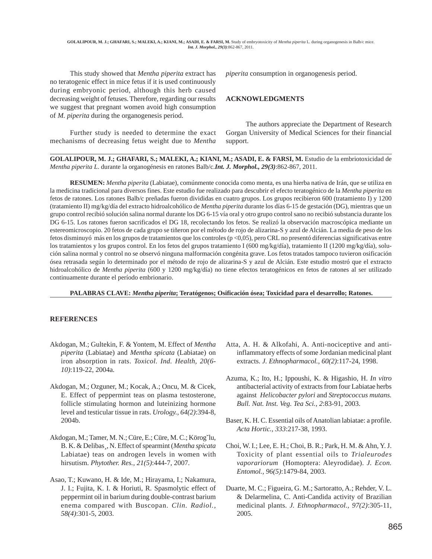This study showed that *Mentha piperita* extract has no teratogenic effect in mice fetus if it is used continuously during embryonic period, although this herb caused decreasing weight of fetuses. Therefore, regarding our results we suggest that pregnant women avoid high consumption of *M. piperita* during the organogenesis period.

Further study is needed to determine the exact mechanisms of decreasing fetus weight due to *Mentha*

*piperita* consumption in organogenesis period.

### **ACKNOWLEDGMENTS**

The authors appreciate the Department of Research Gorgan University of Medical Sciences for their financial support.

**GOLALIPOUR, M. J.; GHAFARI, S.; MALEKI, A.; KIANI, M.; ASADI, E. & FARSI, M.** Estudio de la embriotoxicidad de *Mentha piperita L*. durante la organogénesis en ratones Balb/c.*Int. J. Morphol., 29(3)*:862-867, 2011.

**RESUMEN:** *Mentha piperita* (Labiatae), comúnmente conocida como menta, es una hierba nativa de Irán, que se utiliza en la medicina tradicional para diversos fines. Este estudio fue realizado para descubrir el efecto teratogénico de la *Mentha piperita* en fetos de ratones. Los ratones Balb/c preñadas fueron divididas en cuatro grupos. Los grupos recibieron 600 (tratamiento I) y 1200 (tratamiento II) mg/kg/día del extracto hidroalcohólico de *Mentha piperita* durante los días 6-15 de gestación (DG), mientras que un grupo control recibió solución salina normal durante los DG 6-15 vía oral y otro grupo control sano no recibió substancia durante los DG 6-15. Los ratones fueron sacrificados el DG 18, recolectando los fetos. Se realizó la observación macroscópica mediante un estereomicroscopio. 20 fetos de cada grupo se tiñeron por el método de rojo de alizarina-S y azul de Alcián. La media de peso de los fetos disminuyó más en los grupos de tratamientos que los controles (p <0,05), pero CRL no presentó diferencias significativas entre los tratamientos y los grupos control. En los fetos del grupos tratamiento I (600 mg/kg/día), tratamiento II (1200 mg/kg/día), solución salina normal y control no se observó ninguna malformación congénita grave. Los fetos tratados tampoco tuvieron osificación ósea retrasada según lo determinado por el método de rojo de alizarina-S y azul de Alcián. Este estudio mostró que el extracto hidroalcohólico de *Mentha piperita* (600 y 1200 mg/kg/día) no tiene efectos teratogénicos en fetos de ratones al ser utilizado continuamente durante el período embrionario.

#### **PALABRAS CLAVE:** *Mentha piperita***; Teratógenos; Osificación ósea; Toxicidad para el desarrollo; Ratones.**

#### **REFERENCES**

- Akdogan, M.; Gultekin, F. & Yontem, M. Effect of *Mentha piperita* (Labiatae) and *Mentha spicata* (Labiatae) on iron absorption in rats. *Toxicol. Ind. Health, 20(6- 10)*:119-22, 2004a.
- Akdogan, M.; Ozguner, M.; Kocak, A.; Oncu, M. & Cicek, E. Effect of peppermint teas on plasma testosterone, follicle stimulating hormon and luteinizing hormone level and testicular tissue in rats. *Urology., 64(2)*:394-8, 2004b.
- Akdogan, M.; Tamer, M. N.; Cüre, E.; Cüre, M. C.; Körog˘lu, B. K. & Delibas¸, N. Effect of spearmint (*Mentha spicata* Labiatae) teas on androgen levels in women with hirsutism. *Phytother. Res., 21(5)*:444-7, 2007.
- Asao, T.; Kuwano, H. & Ide, M.; Hirayama, I.; Nakamura, J. I.; Fujita, K. I. & Horiuti, R. Spasmolytic effect of peppermint oil in barium during double-contrast barium enema compared with Buscopan. *Clin. Radiol., 58(4)*:301-5, 2003.
- Atta, A. H. & Alkofahi, A. Anti-nociceptive and antiinflammatory effects of some Jordanian medicinal plant extracts. *J. Ethnopharmacol., 60(2)*:117-24, 1998.
- Azuma, K.; Ito, H.; Ippoushi, K. & Higashio, H. *In vitro* antibacterial activity of extracts from four Labiatae herbs against *Helicobacter pylori* and *Streptococcus mutans. Bull. Nat. Inst. Veg. Tea Sci., 2*:83-91, 2003.
- Baser, K. H. C. Essential oils of Anatolian labiatae: a profile. *Acta Hortic., 333*:217-38, 1993.
- Choi, W. I.; Lee, E. H.; Choi, B. R.; Park, H. M. & Ahn, Y. J. Toxicity of plant essential oils to *Trialeurodes vaporariorum* (Homoptera: Aleyrodidae). *J. Econ. Entomol., 96(5)*:1479-84, 2003.
- Duarte, M. C.; Figueira, G. M.; Sartoratto, A.; Rehder, V. L. & Delarmelina, C. Anti-Candida activity of Brazilian medicinal plants. *J. Ethnopharmacol., 97(2)*:305-11, 2005.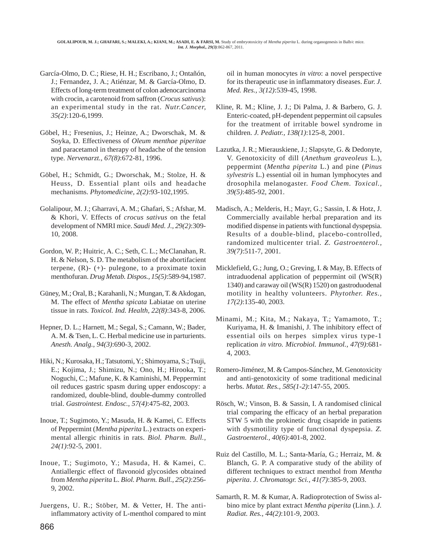- García-Olmo, D. C.; Riese, H. H.; Escribano, J.; Ontañón, J.; Fernandez, J. A.; Atiénzar, M. & García-Olmo, D. Effects of long-term treatment of colon adenocarcinoma with crocin, a carotenoid from saffron (*Crocus sativus*): an experimental study in the rat. *Nutr.Cancer, 35(2)*:120-6,1999.
- Göbel, H.; Fresenius, J.; Heinze, A.; Dworschak, M. & Soyka, D. Effectiveness of *Oleum menthae piperitae* and paracetamol in therapy of headache of the tension type. *Nervenarzt., 67(8)*:672-81, 1996.
- Göbel, H.; Schmidt, G.; Dworschak, M.; Stolze, H. & Heuss, D. Essential plant oils and headache mechanisms. *Phytomedicine, 2(2)*:93-102,1995.
- Golalipour, M. J.; Gharravi, A. M.; Ghafari, S.; Afshar, M. & Khori, V. Effects of *crocus sativus* on the fetal development of NMRI mice. *Saudi Med. J., 29(2)*:309- 10, 2008.
- Gordon, W. P.; Huitric, A. C.; Seth, C. L.; McClanahan, R. H. & Nelson, S. D. The metabolism of the abortifacient terpene,  $(R)$ -  $(+)$ - pulegone, to a proximate toxin menthofuran. *Drug Metab. Dispos., 15(5)*:589-94,1987.
- Güney, M.; Oral, B.; Karahanli, N.; Mungan, T. & Akdogan, M. The effect of *Mentha spicata* Labiatae on uterine tissue in rats. *Toxicol. Ind. Health, 22(8)*:343-8, 2006.
- Hepner, D. L.; Harnett, M.; Segal, S.; Camann, W.; Bader, A. M. & Tsen, L. C. Herbal medicine use in parturients. *Anesth. Analg., 94(3)*:690-3, 2002.
- Hiki, N.; Kurosaka, H.; Tatsutomi, Y.; Shimoyama, S.; Tsuji, E.; Kojima, J.; Shimizu, N.; Ono, H.; Hirooka, T.; Noguchi, C.; Mafune, K. & Kaminishi, M. Peppermint oil reduces gastric spasm during upper endoscopy: a randomized, double-blind, double-dummy controlled trial. *Gastrointest. Endosc., 57(4)*:475-82, 2003.
- Inoue, T.; Sugimoto, Y.; Masuda, H. & Kamei, C. Effects of Peppermint (*Mentha piperita* L.) extracts on experimental allergic rhinitis in rats. *Biol. Pharm. Bull., 24(1)*:92-5, 2001.
- Inoue, T.; Sugimoto, Y.; Masuda, H. & Kamei, C. Antiallergic effect of flavonoid glycosides obtained from *Mentha piperita* L. *Biol. Pharm. Bull., 25(2)*:256- 9, 2002.
- Juergens, U. R.; Stöber, M. & Vetter, H. The antiinflammatory activity of L-menthol compared to mint

oil in human monocytes *in vitro*: a novel perspective for its therapeutic use in inflammatory diseases. *Eur. J. Med. Res., 3(12)*:539-45, 1998.

- Kline, R. M.; Kline, J. J.; Di Palma, J. & Barbero, G. J. Enteric-coated, pH-dependent peppermint oil capsules for the treatment of irritable bowel syndrome in children. *J. Pediatr., 138(1)*:125-8, 2001.
- Lazutka, J. R.; Mierauskiene, J.; Slapsyte, G. & Dedonyte, V. Genotoxicity of dill (*Anethum graveoleus* L.), peppermint (*Mentha piperita* L.) and pine (*Pinus sylvestris* L.) essential oil in human lymphocytes and drosophila melanogaster. *Food Chem. Toxical., 39(5)*:485-92, 2001.
- Madisch, A.; Melderis, H.; Mayr, G.; Sassin, I. & Hotz, J. Commercially available herbal preparation and its modified dispense in patients with functional dyspepsia. Results of a double-blind, placebo-controlled, randomized multicenter trial. *Z. Gastroenterol., 39(7)*:511-7, 2001.
- Micklefield, G.; Jung, O.; Greving, I. & May, B. Effects of intraduodenal application of peppermint oil (WS(R) 1340) and caraway oil (WS(R) 1520) on gastroduodenal motility in healthy volunteers. *Phytother. Res., 17(2)*:135-40, 2003.
- Minami, M.; Kita, M.; Nakaya, T.; Yamamoto, T.; Kuriyama, H. & Imanishi, J. The inhibitory effect of essential oils on herpes simplex virus type-1 replication *in vitro. Microbiol. Immunol., 47(9)*:681- 4, 2003.
- Romero-Jiménez, M. & Campos-Sánchez, M. Genotoxicity and anti-genotoxicity of some traditional medicinal herbs. *Mutat. Res., 585(1-2)*:147-55, 2005.
- Rösch, W.; Vinson, B. & Sassin, I. A randomised clinical trial comparing the efficacy of an herbal preparation STW 5 with the prokinetic drug cisapride in patients with dysmotility type of functional dyspepsia. *Z. Gastroenterol., 40(6)*:401-8, 2002.
- Ruiz del Castillo, M. L.; Santa-María, G.; Herraiz, M. & Blanch, G. P. A comparative study of the ability of different techniques to extract menthol from *Mentha piperita*. *J. Chromatogr. Sci., 41(7)*:385-9, 2003.
- Samarth, R. M. & Kumar, A. Radioprotection of Swiss albino mice by plant extract *Mentha piperita* (Linn.). *J. Radiat. Res., 44(2)*:101-9, 2003.